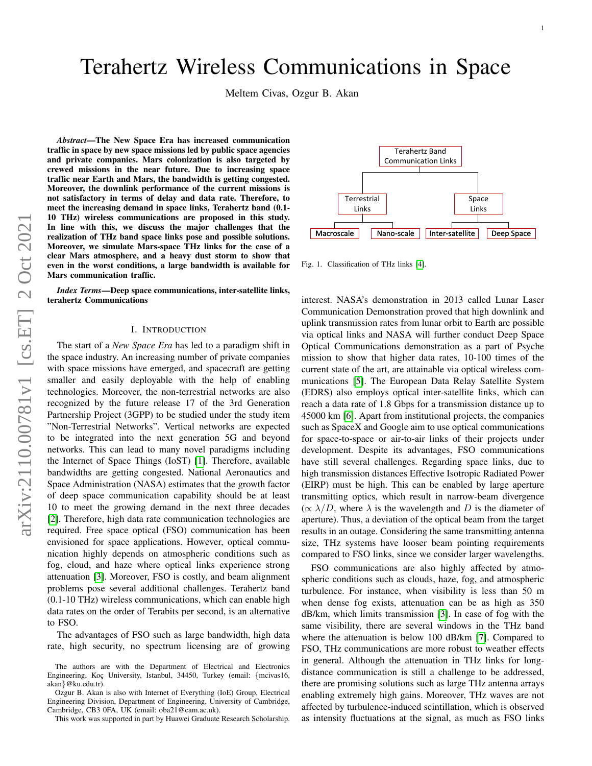# Terahertz Wireless Communications in Space

Meltem Civas, Ozgur B. Akan

*Abstract*—The New Space Era has increased communication traffic in space by new space missions led by public space agencies and private companies. Mars colonization is also targeted by crewed missions in the near future. Due to increasing space traffic near Earth and Mars, the bandwidth is getting congested. Moreover, the downlink performance of the current missions is not satisfactory in terms of delay and data rate. Therefore, to meet the increasing demand in space links, Terahertz band (0.1- 10 THz) wireless communications are proposed in this study. In line with this, we discuss the major challenges that the realization of THz band space links pose and possible solutions. Moreover, we simulate Mars-space THz links for the case of a clear Mars atmosphere, and a heavy dust storm to show that even in the worst conditions, a large bandwidth is available for Mars communication traffic.

*Index Terms*—Deep space communications, inter-satellite links, terahertz Communications

## I. INTRODUCTION

The start of a *New Space Era* has led to a paradigm shift in the space industry. An increasing number of private companies with space missions have emerged, and spacecraft are getting smaller and easily deployable with the help of enabling technologies. Moreover, the non-terrestrial networks are also recognized by the future release 17 of the 3rd Generation Partnership Project (3GPP) to be studied under the study item "Non-Terrestrial Networks". Vertical networks are expected to be integrated into the next generation 5G and beyond networks. This can lead to many novel paradigms including the Internet of Space Things (IoST) [\[1\]](#page-5-0). Therefore, available bandwidths are getting congested. National Aeronautics and Space Administration (NASA) estimates that the growth factor of deep space communication capability should be at least 10 to meet the growing demand in the next three decades [\[2\]](#page-5-1). Therefore, high data rate communication technologies are required. Free space optical (FSO) communication has been envisioned for space applications. However, optical communication highly depends on atmospheric conditions such as fog, cloud, and haze where optical links experience strong attenuation [\[3\]](#page-5-2). Moreover, FSO is costly, and beam alignment problems pose several additional challenges. Terahertz band (0.1-10 THz) wireless communications, which can enable high data rates on the order of Terabits per second, is an alternative to FSO.

The advantages of FSO such as large bandwidth, high data rate, high security, no spectrum licensing are of growing



<span id="page-0-0"></span>Fig. 1. Classification of THz links [\[4\]](#page-5-3).

interest. NASA's demonstration in 2013 called Lunar Laser Communication Demonstration proved that high downlink and uplink transmission rates from lunar orbit to Earth are possible via optical links and NASA will further conduct Deep Space Optical Communications demonstration as a part of Psyche mission to show that higher data rates, 10-100 times of the current state of the art, are attainable via optical wireless communications [\[5\]](#page-5-4). The European Data Relay Satellite System (EDRS) also employs optical inter-satellite links, which can reach a data rate of 1.8 Gbps for a transmission distance up to 45000 km [\[6\]](#page-5-5). Apart from institutional projects, the companies such as SpaceX and Google aim to use optical communications for space-to-space or air-to-air links of their projects under development. Despite its advantages, FSO communications have still several challenges. Regarding space links, due to high transmission distances Effective Isotropic Radiated Power (EIRP) must be high. This can be enabled by large aperture transmitting optics, which result in narrow-beam divergence  $(\propto \lambda/D)$ , where  $\lambda$  is the wavelength and D is the diameter of aperture). Thus, a deviation of the optical beam from the target results in an outage. Considering the same transmitting antenna size, THz systems have looser beam pointing requirements compared to FSO links, since we consider larger wavelengths.

FSO communications are also highly affected by atmospheric conditions such as clouds, haze, fog, and atmospheric turbulence. For instance, when visibility is less than 50 m when dense fog exists, attenuation can be as high as 350 dB/km, which limits transmission [\[3\]](#page-5-2). In case of fog with the same visibility, there are several windows in the THz band where the attenuation is below 100 dB/km [\[7\]](#page-5-6). Compared to FSO, THz communications are more robust to weather effects in general. Although the attenuation in THz links for longdistance communication is still a challenge to be addressed, there are promising solutions such as large THz antenna arrays enabling extremely high gains. Moreover, THz waves are not affected by turbulence-induced scintillation, which is observed as intensity fluctuations at the signal, as much as FSO links

The authors are with the Department of Electrical and Electronics Engineering, Koç University, Istanbul, 34450, Turkey (email: {mcivas16, akan}@ku.edu.tr).

Ozgur B. Akan is also with Internet of Everything (IoE) Group, Electrical Engineering Division, Department of Engineering, University of Cambridge, Cambridge, CB3 0FA, UK (email: oba21@cam.ac.uk).

This work was supported in part by Huawei Graduate Research Scholarship.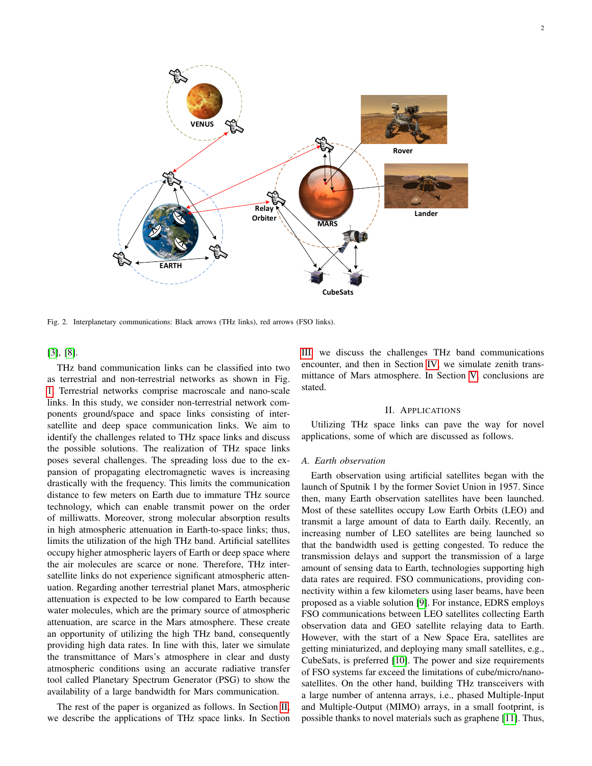

Fig. 2. Interplanetary communications: Black arrows (THz links), red arrows (FSO links).

[\[3\]](#page-5-2), [\[8\]](#page-5-7).

THz band communication links can be classified into two as terrestrial and non-terrestrial networks as shown in Fig. [1.](#page-0-0) Terrestrial networks comprise macroscale and nano-scale links. In this study, we consider non-terrestrial network components ground/space and space links consisting of intersatellite and deep space communication links. We aim to identify the challenges related to THz space links and discuss the possible solutions. The realization of THz space links poses several challenges. The spreading loss due to the expansion of propagating electromagnetic waves is increasing drastically with the frequency. This limits the communication distance to few meters on Earth due to immature THz source technology, which can enable transmit power on the order of milliwatts. Moreover, strong molecular absorption results in high atmospheric attenuation in Earth-to-space links; thus, limits the utilization of the high THz band. Artificial satellites occupy higher atmospheric layers of Earth or deep space where the air molecules are scarce or none. Therefore, THz intersatellite links do not experience significant atmospheric attenuation. Regarding another terrestrial planet Mars, atmospheric attenuation is expected to be low compared to Earth because water molecules, which are the primary source of atmospheric attenuation, are scarce in the Mars atmosphere. These create an opportunity of utilizing the high THz band, consequently providing high data rates. In line with this, later we simulate the transmittance of Mars's atmosphere in clear and dusty atmospheric conditions using an accurate radiative transfer tool called Planetary Spectrum Generator (PSG) to show the availability of a large bandwidth for Mars communication.

The rest of the paper is organized as follows. In Section [II,](#page-1-0) we describe the applications of THz space links. In Section [III,](#page-2-0) we discuss the challenges THz band communications encounter, and then in Section [IV,](#page-4-0) we simulate zenith transmittance of Mars atmosphere. In Section [V,](#page-5-8) conclusions are stated.

#### II. APPLICATIONS

<span id="page-1-0"></span>Utilizing THz space links can pave the way for novel applications, some of which are discussed as follows.

# *A. Earth observation*

Earth observation using artificial satellites began with the launch of Sputnik 1 by the former Soviet Union in 1957. Since then, many Earth observation satellites have been launched. Most of these satellites occupy Low Earth Orbits (LEO) and transmit a large amount of data to Earth daily. Recently, an increasing number of LEO satellites are being launched so that the bandwidth used is getting congested. To reduce the transmission delays and support the transmission of a large amount of sensing data to Earth, technologies supporting high data rates are required. FSO communications, providing connectivity within a few kilometers using laser beams, have been proposed as a viable solution [\[9\]](#page-5-9). For instance, EDRS employs FSO communications between LEO satellites collecting Earth observation data and GEO satellite relaying data to Earth. However, with the start of a New Space Era, satellites are getting miniaturized, and deploying many small satellites, e.g., CubeSats, is preferred [\[10\]](#page-5-10). The power and size requirements of FSO systems far exceed the limitations of cube/micro/nanosatellites. On the other hand, building THz transceivers with a large number of antenna arrays, i.e., phased Multiple-Input and Multiple-Output (MIMO) arrays, in a small footprint, is possible thanks to novel materials such as graphene [\[11\]](#page-5-11). Thus,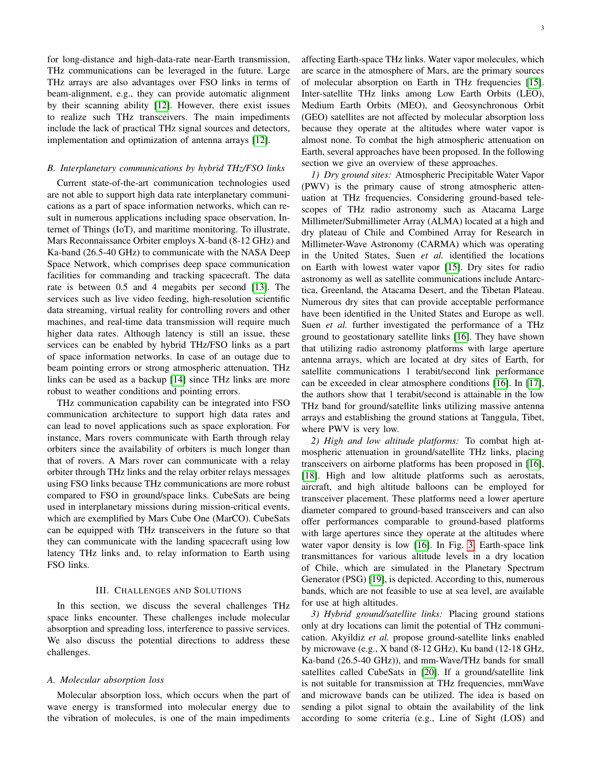for long-distance and high-data-rate near-Earth transmission, THz communications can be leveraged in the future. Large THz arrays are also advantages over FSO links in terms of beam-alignment, e.g., they can provide automatic alignment by their scanning ability [\[12\]](#page-5-12). However, there exist issues to realize such THz transceivers. The main impediments include the lack of practical THz signal sources and detectors, implementation and optimization of antenna arrays [\[12\]](#page-5-12).

## *B. Interplanetary communications by hybrid THz/FSO links*

Current state-of-the-art communication technologies used are not able to support high data rate interplanetary communications as a part of space information networks, which can result in numerous applications including space observation, Internet of Things (IoT), and maritime monitoring. To illustrate, Mars Reconnaissance Orbiter employs X-band (8-12 GHz) and Ka-band (26.5-40 GHz) to communicate with the NASA Deep Space Network, which comprises deep space communication facilities for commanding and tracking spacecraft. The data rate is between 0.5 and 4 megabits per second [\[13\]](#page-5-13). The services such as live video feeding, high-resolution scientific data streaming, virtual reality for controlling rovers and other machines, and real-time data transmission will require much higher data rates. Although latency is still an issue, these services can be enabled by hybrid THz/FSO links as a part of space information networks. In case of an outage due to beam pointing errors or strong atmospheric attenuation, THz links can be used as a backup [\[14\]](#page-5-14) since THz links are more robust to weather conditions and pointing errors.

THz communication capability can be integrated into FSO communication architecture to support high data rates and can lead to novel applications such as space exploration. For instance, Mars rovers communicate with Earth through relay orbiters since the availability of orbiters is much longer than that of rovers. A Mars rover can communicate with a relay orbiter through THz links and the relay orbiter relays messages using FSO links because THz communications are more robust compared to FSO in ground/space links. CubeSats are being used in interplanetary missions during mission-critical events, which are exemplified by Mars Cube One (MarCO). CubeSats can be equipped with THz transceivers in the future so that they can communicate with the landing spacecraft using low latency THz links and, to relay information to Earth using FSO links.

## III. CHALLENGES AND SOLUTIONS

<span id="page-2-0"></span>In this section, we discuss the several challenges THz space links encounter. These challenges include molecular absorption and spreading loss, interference to passive services. We also discuss the potential directions to address these challenges.

## *A. Molecular absorption loss*

Molecular absorption loss, which occurs when the part of wave energy is transformed into molecular energy due to the vibration of molecules, is one of the main impediments affecting Earth-space THz links. Water vapor molecules, which are scarce in the atmosphere of Mars, are the primary sources of molecular absorption on Earth in THz frequencies [\[15\]](#page-5-15). Inter-satellite THz links among Low Earth Orbits (LEO), Medium Earth Orbits (MEO), and Geosynchronous Orbit (GEO) satellites are not affected by molecular absorption loss because they operate at the altitudes where water vapor is almost none. To combat the high atmospheric attenuation on Earth, several approaches have been proposed. In the following section we give an overview of these approaches.

*1) Dry ground sites:* Atmospheric Precipitable Water Vapor (PWV) is the primary cause of strong atmospheric attenuation at THz frequencies. Considering ground-based telescopes of THz radio astronomy such as Atacama Large Millimeter/Submillimeter Array (ALMA) located at a high and dry plateau of Chile and Combined Array for Research in Millimeter-Wave Astronomy (CARMA) which was operating in the United States, Suen *et al.* identified the locations on Earth with lowest water vapor [\[15\]](#page-5-15). Dry sites for radio astronomy as well as satellite communications include Antarctica, Greenland, the Atacama Desert, and the Tibetan Plateau. Numerous dry sites that can provide acceptable performance have been identified in the United States and Europe as well. Suen *et al.* further investigated the performance of a THz ground to geostationary satellite links [\[16\]](#page-5-16). They have shown that utilizing radio astronomy platforms with large aperture antenna arrays, which are located at dry sites of Earth, for satellite communications 1 terabit/second link performance can be exceeded in clear atmosphere conditions [\[16\]](#page-5-16). In [\[17\]](#page-5-17), the authors show that 1 terabit/second is attainable in the low THz band for ground/satellite links utilizing massive antenna arrays and establishing the ground stations at Tanggula, Tibet, where PWV is very low.

*2) High and low altitude platforms:* To combat high atmospheric attenuation in ground/satellite THz links, placing transceivers on airborne platforms has been proposed in [\[16\]](#page-5-16), [\[18\]](#page-5-18). High and low altitude platforms such as aerostats, aircraft, and high altitude balloons can be employed for transceiver placement. These platforms need a lower aperture diameter compared to ground-based transceivers and can also offer performances comparable to ground-based platforms with large apertures since they operate at the altitudes where water vapor density is low [\[16\]](#page-5-16). In Fig. [3,](#page-3-0) Earth-space link transmittances for various altitude levels in a dry location of Chile, which are simulated in the Planetary Spectrum Generator (PSG) [\[19\]](#page-5-19), is depicted. According to this, numerous bands, which are not feasible to use at sea level, are available for use at high altitudes.

*3) Hybrid ground/satellite links:* Placing ground stations only at dry locations can limit the potential of THz communication. Akyildiz *et al.* propose ground-satellite links enabled by microwave (e.g., X band (8-12 GHz), Ku band (12-18 GHz, Ka-band (26.5-40 GHz)), and mm-Wave/THz bands for small satellites called CubeSats in [\[20\]](#page-6-0). If a ground/satellite link is not suitable for transmission at THz frequencies, mmWave and microwave bands can be utilized. The idea is based on sending a pilot signal to obtain the availability of the link according to some criteria (e.g., Line of Sight (LOS) and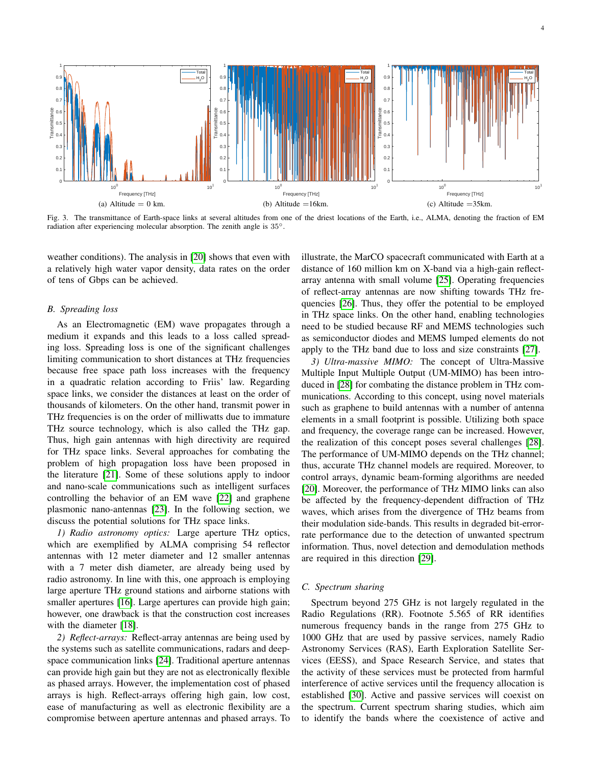

<span id="page-3-0"></span>Fig. 3. The transmittance of Earth-space links at several altitudes from one of the driest locations of the Earth, i.e., ALMA, denoting the fraction of EM radiation after experiencing molecular absorption. The zenith angle is 35◦.

weather conditions). The analysis in [\[20\]](#page-6-0) shows that even with a relatively high water vapor density, data rates on the order of tens of Gbps can be achieved.

# *B. Spreading loss*

As an Electromagnetic (EM) wave propagates through a medium it expands and this leads to a loss called spreading loss. Spreading loss is one of the significant challenges limiting communication to short distances at THz frequencies because free space path loss increases with the frequency in a quadratic relation according to Friis' law. Regarding space links, we consider the distances at least on the order of thousands of kilometers. On the other hand, transmit power in THz frequencies is on the order of milliwatts due to immature THz source technology, which is also called the THz gap. Thus, high gain antennas with high directivity are required for THz space links. Several approaches for combating the problem of high propagation loss have been proposed in the literature [\[21\]](#page-6-1). Some of these solutions apply to indoor and nano-scale communications such as intelligent surfaces controlling the behavior of an EM wave [\[22\]](#page-6-2) and graphene plasmonic nano-antennas [\[23\]](#page-6-3). In the following section, we discuss the potential solutions for THz space links.

*1) Radio astronomy optics:* Large aperture THz optics, which are exemplified by ALMA comprising 54 reflector antennas with 12 meter diameter and 12 smaller antennas with a 7 meter dish diameter, are already being used by radio astronomy. In line with this, one approach is employing large aperture THz ground stations and airborne stations with smaller apertures [\[16\]](#page-5-16). Large apertures can provide high gain; however, one drawback is that the construction cost increases with the diameter [\[18\]](#page-5-18).

*2) Reflect-arrays:* Reflect-array antennas are being used by the systems such as satellite communications, radars and deepspace communication links [\[24\]](#page-6-4). Traditional aperture antennas can provide high gain but they are not as electronically flexible as phased arrays. However, the implementation cost of phased arrays is high. Reflect-arrays offering high gain, low cost, ease of manufacturing as well as electronic flexibility are a compromise between aperture antennas and phased arrays. To illustrate, the MarCO spacecraft communicated with Earth at a distance of 160 million km on X-band via a high-gain reflectarray antenna with small volume [\[25\]](#page-6-5). Operating frequencies of reflect-array antennas are now shifting towards THz frequencies [\[26\]](#page-6-6). Thus, they offer the potential to be employed in THz space links. On the other hand, enabling technologies need to be studied because RF and MEMS technologies such as semiconductor diodes and MEMS lumped elements do not apply to the THz band due to loss and size constraints [\[27\]](#page-6-7).

*3) Ultra-massive MIMO:* The concept of Ultra-Massive Multiple Input Multiple Output (UM-MIMO) has been introduced in [\[28\]](#page-6-8) for combating the distance problem in THz communications. According to this concept, using novel materials such as graphene to build antennas with a number of antenna elements in a small footprint is possible. Utilizing both space and frequency, the coverage range can be increased. However, the realization of this concept poses several challenges [\[28\]](#page-6-8). The performance of UM-MIMO depends on the THz channel; thus, accurate THz channel models are required. Moreover, to control arrays, dynamic beam-forming algorithms are needed [\[20\]](#page-6-0). Moreover, the performance of THz MIMO links can also be affected by the frequency-dependent diffraction of THz waves, which arises from the divergence of THz beams from their modulation side-bands. This results in degraded bit-errorrate performance due to the detection of unwanted spectrum information. Thus, novel detection and demodulation methods are required in this direction [\[29\]](#page-6-9).

### *C. Spectrum sharing*

Spectrum beyond 275 GHz is not largely regulated in the Radio Regulations (RR). Footnote 5.565 of RR identifies numerous frequency bands in the range from 275 GHz to 1000 GHz that are used by passive services, namely Radio Astronomy Services (RAS), Earth Exploration Satellite Services (EESS), and Space Research Service, and states that the activity of these services must be protected from harmful interference of active services until the frequency allocation is established [\[30\]](#page-6-10). Active and passive services will coexist on the spectrum. Current spectrum sharing studies, which aim to identify the bands where the coexistence of active and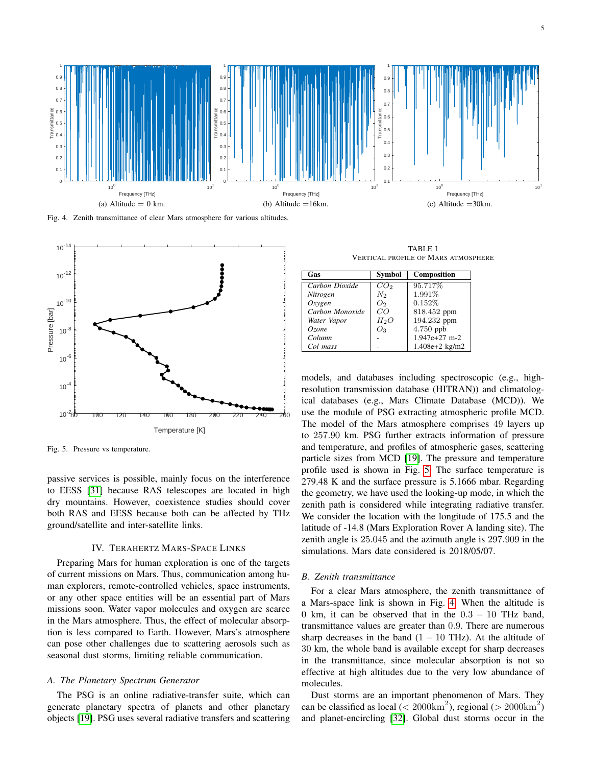

<span id="page-4-2"></span>Fig. 4. Zenith transmittance of clear Mars atmosphere for various altitudes.



<span id="page-4-1"></span>Fig. 5. Pressure vs temperature.

passive services is possible, mainly focus on the interference to EESS [\[31\]](#page-6-11) because RAS telescopes are located in high dry mountains. However, coexistence studies should cover both RAS and EESS because both can be affected by THz ground/satellite and inter-satellite links.

## IV. TERAHERTZ MARS-SPACE LINKS

<span id="page-4-0"></span>Preparing Mars for human exploration is one of the targets of current missions on Mars. Thus, communication among human explorers, remote-controlled vehicles, space instruments, or any other space entities will be an essential part of Mars missions soon. Water vapor molecules and oxygen are scarce in the Mars atmosphere. Thus, the effect of molecular absorption is less compared to Earth. However, Mars's atmosphere can pose other challenges due to scattering aerosols such as seasonal dust storms, limiting reliable communication.

## *A. The Planetary Spectrum Generator*

The PSG is an online radiative-transfer suite, which can generate planetary spectra of planets and other planetary objects [\[19\]](#page-5-19). PSG uses several radiative transfers and scattering

TABLE I VERTICAL PROFILE OF MARS ATMOSPHERE

| Gas             | <b>Symbol</b>   | <b>Composition</b> |
|-----------------|-----------------|--------------------|
| Carbon Dioxide  | CO <sub>2</sub> | 95.717%            |
| Nitrogen        | $N_2$           | 1.991%             |
| Oxveen          | O <sub>2</sub>  | 0.152%             |
| Carbon Monoxide | CO              | 818.452 ppm        |
| Water Vapor     | $H_2O$          | 194.232 ppm        |
| Ozone           | O3              | 4.750 ppb          |
| Column          |                 | 1.947e+27 m-2      |
| Col mass        |                 | $1.408e + 2 kg/m2$ |

models, and databases including spectroscopic (e.g., highresolution transmission database (HITRAN)) and climatological databases (e.g., Mars Climate Database (MCD)). We use the module of PSG extracting atmospheric profile MCD. The model of the Mars atmosphere comprises 49 layers up to 257.90 km. PSG further extracts information of pressure and temperature, and profiles of atmospheric gases, scattering particle sizes from MCD [\[19\]](#page-5-19). The pressure and temperature profile used is shown in Fig. [5.](#page-4-1) The surface temperature is 279.48 K and the surface pressure is 5.1666 mbar. Regarding the geometry, we have used the looking-up mode, in which the zenith path is considered while integrating radiative transfer. We consider the location with the longitude of 175.5 and the latitude of -14.8 (Mars Exploration Rover A landing site). The zenith angle is 25.045 and the azimuth angle is 297.909 in the simulations. Mars date considered is 2018/05/07.

#### *B. Zenith transmittance*

For a clear Mars atmosphere, the zenith transmittance of a Mars-space link is shown in Fig. [4.](#page-4-2) When the altitude is 0 km, it can be observed that in the  $0.3 - 10$  THz band, transmittance values are greater than 0.9. There are numerous sharp decreases in the band  $(1 - 10$  THz). At the altitude of 30 km, the whole band is available except for sharp decreases in the transmittance, since molecular absorption is not so effective at high altitudes due to the very low abundance of molecules.

Dust storms are an important phenomenon of Mars. They can be classified as local ( $\langle 2000 \text{km}^2$ ), regional ( $> 2000 \text{km}^2$ ) and planet-encircling [\[32\]](#page-6-12). Global dust storms occur in the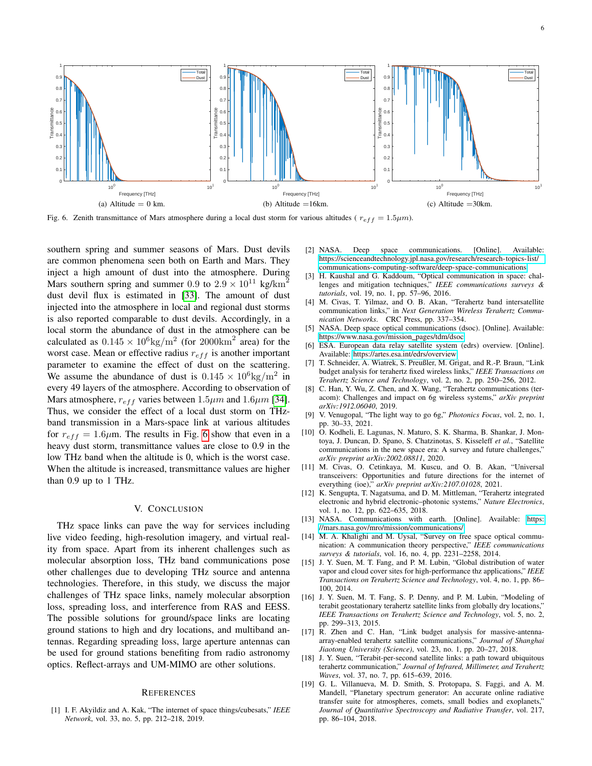

<span id="page-5-20"></span>Fig. 6. Zenith transmittance of Mars atmosphere during a local dust storm for various altitudes ( $r_{eff} = 1.5 \mu m$ ).

southern spring and summer seasons of Mars. Dust devils are common phenomena seen both on Earth and Mars. They inject a high amount of dust into the atmosphere. During Mars southern spring and summer 0.9 to  $2.9 \times 10^{11}$  kg/km<sup>2</sup> dust devil flux is estimated in [\[33\]](#page-6-13). The amount of dust injected into the atmosphere in local and regional dust storms is also reported comparable to dust devils. Accordingly, in a local storm the abundance of dust in the atmosphere can be calculated as  $0.145 \times 10^6$ kg/m<sup>2</sup> (for 2000km<sup>2</sup> area) for the worst case. Mean or effective radius  $r_{eff}$  is another important parameter to examine the effect of dust on the scattering. We assume the abundance of dust is  $0.145 \times 10^6$ kg/m<sup>2</sup> in every 49 layers of the atmosphere. According to observation of Mars atmosphere,  $r_{eff}$  varies between 1.5 $\mu$ m and 1.6 $\mu$ m [\[34\]](#page-6-14). Thus, we consider the effect of a local dust storm on THzband transmission in a Mars-space link at various altitudes for  $r_{eff} = 1.6 \mu m$ . The results in Fig. [6](#page-5-20) show that even in a heavy dust storm, transmittance values are close to 0.9 in the low THz band when the altitude is 0, which is the worst case. When the altitude is increased, transmittance values are higher than 0.9 up to 1 THz.

## V. CONCLUSION

<span id="page-5-8"></span>THz space links can pave the way for services including live video feeding, high-resolution imagery, and virtual reality from space. Apart from its inherent challenges such as molecular absorption loss, THz band communications pose other challenges due to developing THz source and antenna technologies. Therefore, in this study, we discuss the major challenges of THz space links, namely molecular absorption loss, spreading loss, and interference from RAS and EESS. The possible solutions for ground/space links are locating ground stations to high and dry locations, and multiband antennas. Regarding spreading loss, large aperture antennas can be used for ground stations benefiting from radio astronomy optics. Reflect-arrays and UM-MIMO are other solutions.

#### **REFERENCES**

<span id="page-5-0"></span>[1] I. F. Akyildiz and A. Kak, "The internet of space things/cubesats," *IEEE Network*, vol. 33, no. 5, pp. 212–218, 2019.

- <span id="page-5-1"></span>[2] NASA. Deep space communications. [Online]. Available: [https://scienceandtechnology.jpl.nasa.gov/research/research-topics-list/](https://scienceandtechnology.jpl.nasa.gov/research/research-topics-list/communications-computing-software/deep-space-communications) [communications-computing-software/deep-space-communications](https://scienceandtechnology.jpl.nasa.gov/research/research-topics-list/communications-computing-software/deep-space-communications)
- <span id="page-5-2"></span>[3] H. Kaushal and G. Kaddoum, "Optical communication in space: challenges and mitigation techniques," *IEEE communications surveys & tutorials*, vol. 19, no. 1, pp. 57–96, 2016.
- <span id="page-5-3"></span>[4] M. Civas, T. Yilmaz, and O. B. Akan, "Terahertz band intersatellite communication links," in *Next Generation Wireless Terahertz Communication Networks*. CRC Press, pp. 337–354.
- <span id="page-5-4"></span>[5] NASA. Deep space optical communications (dsoc). [Online]. Available: [https://www.nasa.gov/mission](https://www.nasa.gov/mission_pages/tdm/dsoc) pages/tdm/dsoc
- <span id="page-5-5"></span>[6] ESA. European data relay satellite system (edrs) overview. [Online]. Available:<https://artes.esa.int/edrs/overview>
- <span id="page-5-6"></span>[7] T. Schneider, A. Wiatrek, S. Preußler, M. Grigat, and R.-P. Braun, "Link budget analysis for terahertz fixed wireless links," *IEEE Transactions on Terahertz Science and Technology*, vol. 2, no. 2, pp. 250–256, 2012.
- <span id="page-5-7"></span>[8] C. Han, Y. Wu, Z. Chen, and X. Wang, "Terahertz communications (teracom): Challenges and impact on 6g wireless systems," *arXiv preprint arXiv:1912.06040*, 2019.
- <span id="page-5-9"></span>[9] V. Venugopal, "The light way to go 6g," *Photonics Focus*, vol. 2, no. 1, pp. 30–33, 2021.
- <span id="page-5-10"></span>[10]  $\hat{O}$ . Kodheli, E. Lagunas, N. Maturo, S. K. Sharma, B. Shankar, J. Montoya, J. Duncan, D. Spano, S. Chatzinotas, S. Kisseleff *et al.*, "Satellite communications in the new space era: A survey and future challenges," *arXiv preprint arXiv:2002.08811*, 2020.
- <span id="page-5-11"></span>[11] M. Civas, O. Cetinkaya, M. Kuscu, and O. B. Akan, "Universal transceivers: Opportunities and future directions for the internet of everything (ioe)," *arXiv preprint arXiv:2107.01028*, 2021.
- <span id="page-5-12"></span>[12] K. Sengupta, T. Nagatsuma, and D. M. Mittleman, "Terahertz integrated electronic and hybrid electronic–photonic systems," *Nature Electronics*, vol. 1, no. 12, pp. 622–635, 2018.
- <span id="page-5-13"></span>[13] NASA. Communications with earth. [Online]. Available: [https:](https://mars.nasa.gov/mro/mission/communications/) [//mars.nasa.gov/mro/mission/communications/](https://mars.nasa.gov/mro/mission/communications/)
- <span id="page-5-14"></span>[14] M. A. Khalighi and M. Uysal, "Survey on free space optical communication: A communication theory perspective," *IEEE communications surveys & tutorials*, vol. 16, no. 4, pp. 2231–2258, 2014.
- <span id="page-5-15"></span>[15] J. Y. Suen, M. T. Fang, and P. M. Lubin, "Global distribution of water vapor and cloud cover sites for high-performance thz applications," *IEEE Transactions on Terahertz Science and Technology*, vol. 4, no. 1, pp. 86– 100, 2014.
- <span id="page-5-16"></span>[16] J. Y. Suen, M. T. Fang, S. P. Denny, and P. M. Lubin, "Modeling of terabit geostationary terahertz satellite links from globally dry locations," *IEEE Transactions on Terahertz Science and Technology*, vol. 5, no. 2, pp. 299–313, 2015.
- <span id="page-5-17"></span>[17] R. Zhen and C. Han, "Link budget analysis for massive-antennaarray-enabled terahertz satellite communications," *Journal of Shanghai Jiaotong University (Science)*, vol. 23, no. 1, pp. 20–27, 2018.
- <span id="page-5-18"></span>[18] J. Y. Suen, "Terabit-per-second satellite links: a path toward ubiquitous terahertz communication," *Journal of Infrared, Millimeter, and Terahertz Waves*, vol. 37, no. 7, pp. 615–639, 2016.
- <span id="page-5-19"></span>[19] G. L. Villanueva, M. D. Smith, S. Protopapa, S. Faggi, and A. M. Mandell, "Planetary spectrum generator: An accurate online radiative transfer suite for atmospheres, comets, small bodies and exoplanets," *Journal of Quantitative Spectroscopy and Radiative Transfer*, vol. 217, pp. 86–104, 2018.